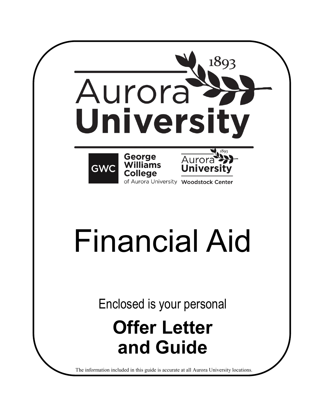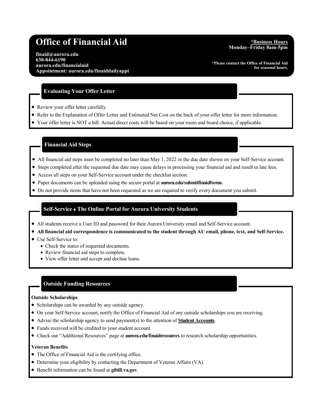# **Office of Financial Aid** *Aid Physical Aid Physical Aid Physical Aid Physical Aid Physical Aid Physical Aid Physical Aid Physical Aid Physical Aid Physical Aid Physical Aid*

**finaid@aurora.edu 630-844-6190 aurora.edu/financialaid Appointment: aurora.edu/finaiddailyappt**

# **Monday–Friday 8am-5pm**

**\*Please contact the Office of Financial Aid for seasonal hours.**

# **Evaluating Your Offer Letter**

- Review your offer letter carefully.
- Refer to the Explanation of Offer Letter and Estimated Net Cost on the back of your offer letter for more information.
- Your offer letter is NOT a bill. Actual direct costs will be based on your room and board choice, if applicable.

#### **Financial Aid Steps**

- All financial aid steps must be completed no later than May 1, 2022 or the due date shown on your Self-Service account.
- Steps completed after the requested due date may cause delays in processing your financial aid and result in late fees.
- Access all steps on your Self-Service account under the checklist section.
- Paper documents can be uploaded using the secure portal at **aurora.edu/submitfinaidforms**.
- Do not provide items that have not been requested as we are required to verify every document you submit.

# **Self-Service The Online Portal for Aurora University Students**

- All students receive a User ID and password for their Aurora University email and Self-Service account.
- **All financial aid correspondence is communicated to the student through AU email, phone, text, and Self-Service.**
- Use Self-Service to:
	- Check the status of requested documents.
	- Review financial aid steps to complete.
	- View offer letter and accept and decline loans.

# **Outside Funding Resources**

#### **Outside Scholarships**

- Scholarships can be awarded by any outside agency.
- On your Self-Service account, notify the Office of Financial Aid of any outside scholarships you are receiving.
- Advise the scholarship agency to send payment(s) to the attention of **Student Accounts**.
- Funds received will be credited to your student account.
- Check our "Additional Resources" page at **aurora.edu/finaidresources** to research scholarship opportunities.

#### **Veteran Benefits**

- The Office of Financial Aid is the certifying office.
- Determine your eligibility by contacting the Department of Veteran Affairs (VA).
- Benefit information can be found at **gibill.va.gov**.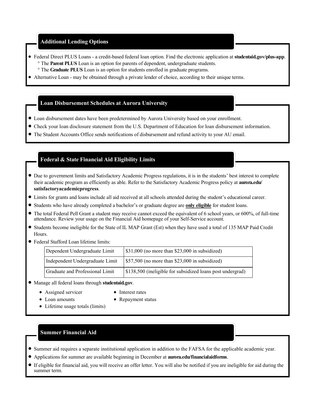### **Additional Lending Options**

- Federal Direct PLUS Loans a credit-based federal loan option. Find the electronic application at **studentaid.gov/plus-app**. The **Parent PLUS** Loan is an option for parents of dependent, undergraduate students.
	- The **Graduate PLUS** Loan is an option for students enrolled in graduate programs.
- Alternative Loan may be obtained through a private lender of choice, according to their unique terms.

#### **Loan Disbursement Schedules at Aurora University**

- Loan disbursement dates have been predetermined by Aurora University based on your enrollment.
- Check your loan disclosure statement from the U.S. Department of Education for loan disbursement information.
- The Student Accounts Office sends notifications of disbursement and refund activity to your AU email.

## **Federal & State Financial Aid Eligibility Limits**

- Due to government limits and Satisfactory Academic Progress regulations, it is in the students' best interest to complete their academic program as efficiently as able. Refer to the Satisfactory Academic Progress policy at **aurora.edu/ satisfactoryacademicprogress**.
- Limits for grants and loans include all aid received at all schools attended during the student's educational career.
- Students who have already completed a bachelor's or graduate degree are **only eligible** for student loans.
- The total Federal Pell Grant a student may receive cannot exceed the equivalent of 6 school years, or 600%, of full-time attendance. Review your usage on the Financial Aid homepage of your Self-Service account.
- Students become ineligible for the State of IL MAP Grant (Est) when they have used a total of 135 MAP Paid Credit Hours.
- Federal Stafford Loan lifetime limits:

| Dependent Undergraduate Limit   | $\frac{1}{2}$ \$31,000 (no more than \$23,000 in subsidized) |
|---------------------------------|--------------------------------------------------------------|
| Independent Undergraduate Limit | $\frac{1}{2}$ \$57,500 (no more than \$23,000 in subsidized) |
| Graduate and Professional Limit | \$138,500 (ineligible for subsidized loans post undergrad)   |

- Manage all federal loans through **studentaid.gov**.
	- Assigned servicer
	- Loan amounts
- Interest rates • Repayment status
- Lifetime usage totals (limits)

# **Summer Financial Aid**

- Summer aid requires a separate institutional application in addition to the FAFSA for the applicable academic year.
- Applications for summer are available beginning in December at **aurora.edu/financialaidforms**.
- If eligible for financial aid, you will receive an offer letter. You will also be notified if you are ineligible for aid during the summer term.